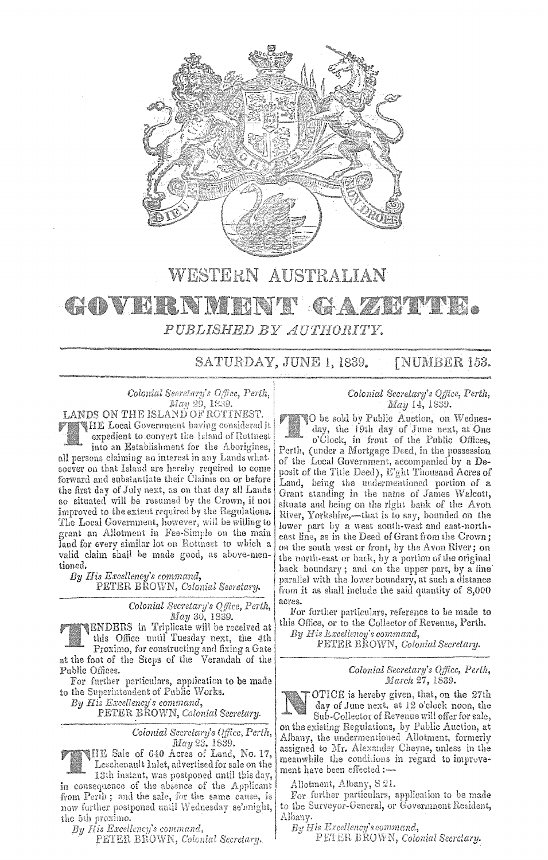

## WESTERN AUSTRALIAN GAZETTE. GOVERNMENT PUBLISHED BY AUTHORITY.

SATURDAY, JUNE 1, 1839. **[NUMBER 153.** 

Colonial Secretary's Office, Perth, May 29, 1839.

LANDS ON THE ISLAND OF ROTINEST. THE Local Government having considered it expedient to convert the Island of Rottnest into an Establishment for the Aborigines, all persons claiming an interest in any Lands whatsoever on that Island are hereby required to come forward and substantiate their Claims on or before the first day of July next, as on that day all Lands so situated will be resumed by the Crown, if not improved to the extent required by the Regulations. The Local Government, however, will be willing to grant an Allotment in Fee-Simple on the main land for every similar lot on Rottneet to which a valid claim shall be made good, as above-mentioned.

By His Excellency's command, PETER BROWN, Colonial Secretary.

> Colonial Secretary's Office, Perth, May 30, 1839.

ENDERS in Triplicate will be received at this Office until Tuesday next, the 4th

Proximo, for constructing and fixing a Gate<br>at the foot of the Steps of the Verandah of the Public Offices.

For further particulars, application to be made to the Superintendent of Public Works.

By His Excellency's command,

PETER BROWN, Colonial Secretary.

Colonial Secretary's Office, Perth,

 $May 23, 1839.$  Way 23, 1839. Leschenault Inlet, advertised for sale on the 13th instant, was postponed until this day,

in consequence of the absence of the Applicant from Perth; and the sale, for the same cause, is now further postponed until Wednesday se'might, the 5th proximo.

By His Excellency's command,

PETER BROWN, Colonial Secretary.

## Colonial Secretary's Office, Perth, May 14, 1839.

O be sold by Public Auction, on Wednesday, the 19th day of June next, at One<br>o'Clock, in front of the Public Offices, Perth, (under a Mortgage Deed, in the possession of the Local Government, accompanied by a Deposit of the Title Deed), E'ght Thousand Acres of Land, being the undermentioned portion of a Grant standing in the name of James Walcott, situate and being on the right bank of the Avon River, Yorkshire,—that is to say, bounded on the lower part by a west south-west and east-northeast line, as in the Deed of Grant from the Crown; on the south west or front, by the Avon River; on

the north-east or back, by a portion of the original back boundary; and on the upper part, by a line parallel with the lower boundary, at such a distance from it as shall include the said quantity of 8,000 acres.

For further particulars, reference to be made to this Office, or to the Collector of Revenue, Perth.

By His Lxcellency's command, PETER BROWN, Colonial Secretary.

Colonial Secretary's Office, Perth,<br>March 27, 1839.



OTICE is hereby given, that, on the 27th day of June next, at 12 o'clock noon, the Sub-Collector of Revenue will offer for sale, on the existing Regulations, by Public Auction, at Albany, the undermentioned Allotment, formerly assigned to Mr. Alexander Cheyne, unless in the meanwhile the conditions in regard to improvement have been effected :-

Allotment, Albany, S 21.

For further particulars, application to be made to the Surveyor-General, or Government Resident, Albany.

By His Excellency's command,

PETER BROWN, Colonial Secretary.